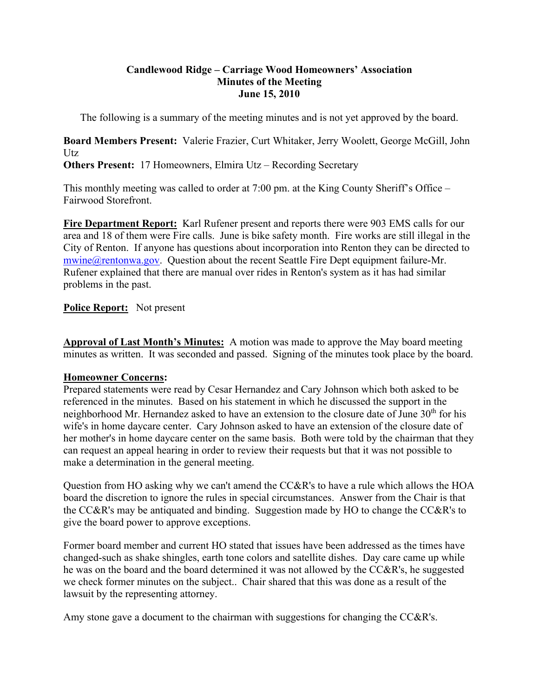## **Candlewood Ridge – Carriage Wood Homeowners' Association Minutes of the Meeting June 15, 2010**

The following is a summary of the meeting minutes and is not yet approved by the board.

**Board Members Present:** Valerie Frazier, Curt Whitaker, Jerry Woolett, George McGill, John Utz

**Others Present:** 17 Homeowners, Elmira Utz – Recording Secretary

This monthly meeting was called to order at 7:00 pm. at the King County Sheriff's Office – Fairwood Storefront.

**Fire Department Report:** Karl Rufener present and reports there were 903 EMS calls for our area and 18 of them were Fire calls. June is bike safety month. Fire works are still illegal in the City of Renton. If anyone has questions about incorporation into Renton they can be directed to  $mwing@rentonwa.gov.$  Question about the recent Seattle Fire Dept equipment failure-Mr. Rufener explained that there are manual over rides in Renton's system as it has had similar problems in the past.

# **Police Report:** Not present

**Approval of Last Month's Minutes:** A motion was made to approve the May board meeting minutes as written. It was seconded and passed. Signing of the minutes took place by the board.

# **Homeowner Concerns:**

Prepared statements were read by Cesar Hernandez and Cary Johnson which both asked to be referenced in the minutes. Based on his statement in which he discussed the support in the neighborhood Mr. Hernandez asked to have an extension to the closure date of June 30<sup>th</sup> for his wife's in home daycare center. Cary Johnson asked to have an extension of the closure date of her mother's in home daycare center on the same basis. Both were told by the chairman that they can request an appeal hearing in order to review their requests but that it was not possible to make a determination in the general meeting.

Question from HO asking why we can't amend the CC&R's to have a rule which allows the HOA board the discretion to ignore the rules in special circumstances. Answer from the Chair is that the CC&R's may be antiquated and binding. Suggestion made by HO to change the CC&R's to give the board power to approve exceptions.

Former board member and current HO stated that issues have been addressed as the times have changed-such as shake shingles, earth tone colors and satellite dishes. Day care came up while he was on the board and the board determined it was not allowed by the CC&R's, he suggested we check former minutes on the subject.. Chair shared that this was done as a result of the lawsuit by the representing attorney.

Amy stone gave a document to the chairman with suggestions for changing the CC&R's.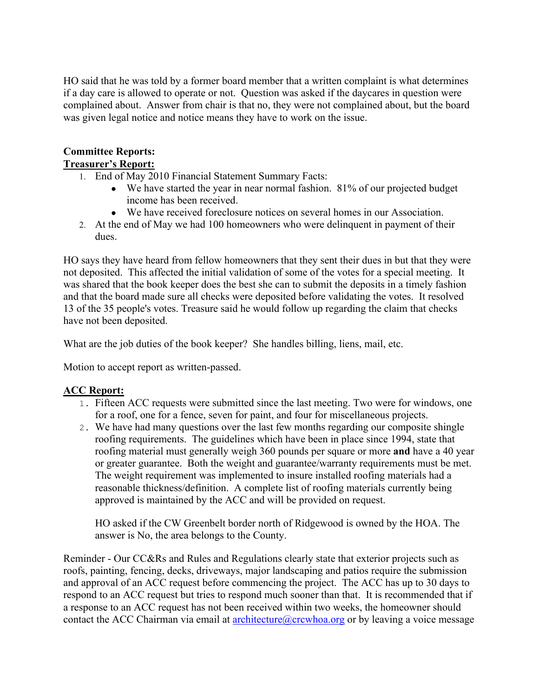HO said that he was told by a former board member that a written complaint is what determines if a day care is allowed to operate or not. Question was asked if the daycares in question were complained about. Answer from chair is that no, they were not complained about, but the board was given legal notice and notice means they have to work on the issue.

### **Committee Reports: Treasurer's Report:**

- 1. End of May 2010 Financial Statement Summary Facts:
	- We have started the year in near normal fashion. 81% of our projected budget income has been received.
	- We have received foreclosure notices on several homes in our Association.
- 2. At the end of May we had 100 homeowners who were delinquent in payment of their dues.

HO says they have heard from fellow homeowners that they sent their dues in but that they were not deposited. This affected the initial validation of some of the votes for a special meeting. It was shared that the book keeper does the best she can to submit the deposits in a timely fashion and that the board made sure all checks were deposited before validating the votes. It resolved 13 of the 35 people's votes. Treasure said he would follow up regarding the claim that checks have not been deposited.

What are the job duties of the book keeper? She handles billing, liens, mail, etc.

Motion to accept report as written-passed.

# **ACC Report:**

- 1. Fifteen ACC requests were submitted since the last meeting. Two were for windows, one for a roof, one for a fence, seven for paint, and four for miscellaneous projects.
- 2. We have had many questions over the last few months regarding our composite shingle roofing requirements. The guidelines which have been in place since 1994, state that roofing material must generally weigh 360 pounds per square or more **and** have a 40 year or greater guarantee. Both the weight and guarantee/warranty requirements must be met. The weight requirement was implemented to insure installed roofing materials had a reasonable thickness/definition. A complete list of roofing materials currently being approved is maintained by the ACC and will be provided on request.

 HO asked if the CW Greenbelt border north of Ridgewood is owned by the HOA. The answer is No, the area belongs to the County.

Reminder - Our CC&Rs and Rules and Regulations clearly state that exterior projects such as roofs, painting, fencing, decks, driveways, major landscaping and patios require the submission and approval of an ACC request before commencing the project. The ACC has up to 30 days to respond to an ACC request but tries to respond much sooner than that. It is recommended that if a response to an ACC request has not been received within two weeks, the homeowner should contact the ACC Chairman via email at  $\architecture@crcwhoa.org$  or by leaving a voice message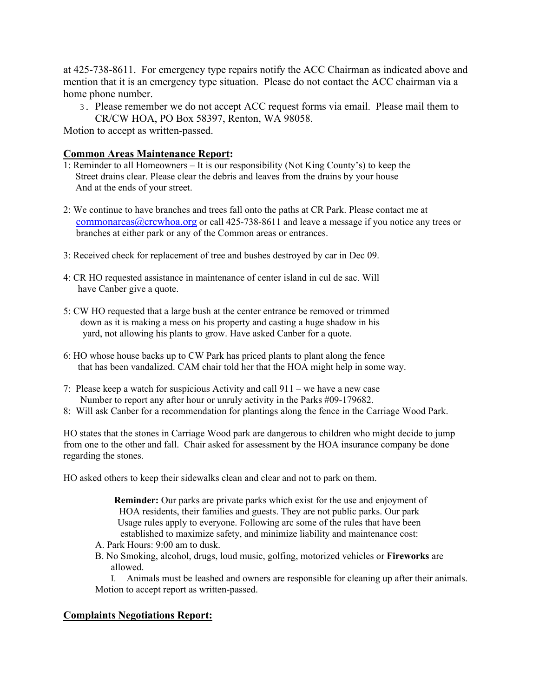at 425-738-8611. For emergency type repairs notify the ACC Chairman as indicated above and mention that it is an emergency type situation. Please do not contact the ACC chairman via a home phone number.

3. Please remember we do not accept ACC request forms via email. Please mail them to CR/CW HOA, PO Box 58397, Renton, WA 98058.

Motion to accept as written-passed.

### **Common Areas Maintenance Report:**

- 1: Reminder to all Homeowners It is our responsibility (Not King County's) to keep the Street drains clear. Please clear the debris and leaves from the drains by your house And at the ends of your street.
- 2: We continue to have branches and trees fall onto the paths at CR Park. Please contact me at commonareas@crcwhoa.org or call 425-738-8611 and leave a message if you notice any trees or branches at either park or any of the Common areas or entrances.
- 3: Received check for replacement of tree and bushes destroyed by car in Dec 09.
- 4: CR HO requested assistance in maintenance of center island in cul de sac. Will have Canber give a quote.
- 5: CW HO requested that a large bush at the center entrance be removed or trimmed down as it is making a mess on his property and casting a huge shadow in his yard, not allowing his plants to grow. Have asked Canber for a quote.
- 6: HO whose house backs up to CW Park has priced plants to plant along the fence that has been vandalized. CAM chair told her that the HOA might help in some way.
- 7: Please keep a watch for suspicious Activity and call 911 we have a new case Number to report any after hour or unruly activity in the Parks #09-179682.
- 8: Will ask Canber for a recommendation for plantings along the fence in the Carriage Wood Park.

HO states that the stones in Carriage Wood park are dangerous to children who might decide to jump from one to the other and fall. Chair asked for assessment by the HOA insurance company be done regarding the stones.

HO asked others to keep their sidewalks clean and clear and not to park on them.

- **Reminder:** Our parks are private parks which exist for the use and enjoyment of HOA residents, their families and guests. They are not public parks. Our park Usage rules apply to everyone. Following arc some of the rules that have been established to maximize safety, and minimize liability and maintenance cost:
- A. Park Hours: 9:00 am to dusk.
- B. No Smoking, alcohol, drugs, loud music, golfing, motorized vehicles or **Fireworks** are allowed.
- I. Animals must be leashed and owners are responsible for cleaning up after their animals. Motion to accept report as written-passed.

## **Complaints Negotiations Report:**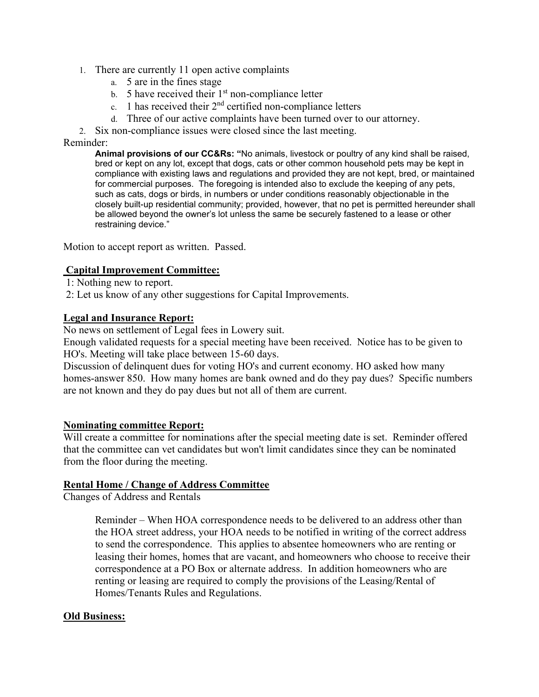- 1. There are currently 11 open active complaints
	- a. 5 are in the fines stage
	- b. 5 have received their  $1<sup>st</sup>$  non-compliance letter
	- c. 1 has received their  $2<sup>nd</sup>$  certified non-compliance letters
	- d. Three of our active complaints have been turned over to our attorney.
- 2. Six non-compliance issues were closed since the last meeting.

#### Reminder:

**Animal provisions of our CC&Rs: "**No animals, livestock or poultry of any kind shall be raised, bred or kept on any lot, except that dogs, cats or other common household pets may be kept in compliance with existing laws and regulations and provided they are not kept, bred, or maintained for commercial purposes. The foregoing is intended also to exclude the keeping of any pets, such as cats, dogs or birds, in numbers or under conditions reasonably objectionable in the closely built-up residential community; provided, however, that no pet is permitted hereunder shall be allowed beyond the owner's lot unless the same be securely fastened to a lease or other restraining device."

Motion to accept report as written. Passed.

## **Capital Improvement Committee:**

- 1: Nothing new to report.
- 2: Let us know of any other suggestions for Capital Improvements.

## **Legal and Insurance Report:**

No news on settlement of Legal fees in Lowery suit.

Enough validated requests for a special meeting have been received. Notice has to be given to HO's. Meeting will take place between 15-60 days.

Discussion of delinquent dues for voting HO's and current economy. HO asked how many homes-answer 850. How many homes are bank owned and do they pay dues? Specific numbers are not known and they do pay dues but not all of them are current.

## **Nominating committee Report:**

Will create a committee for nominations after the special meeting date is set. Reminder offered that the committee can vet candidates but won't limit candidates since they can be nominated from the floor during the meeting.

## **Rental Home / Change of Address Committee**

Changes of Address and Rentals

 Reminder – When HOA correspondence needs to be delivered to an address other than the HOA street address, your HOA needs to be notified in writing of the correct address to send the correspondence. This applies to absentee homeowners who are renting or leasing their homes, homes that are vacant, and homeowners who choose to receive their correspondence at a PO Box or alternate address. In addition homeowners who are renting or leasing are required to comply the provisions of the Leasing/Rental of Homes/Tenants Rules and Regulations.

## **Old Business:**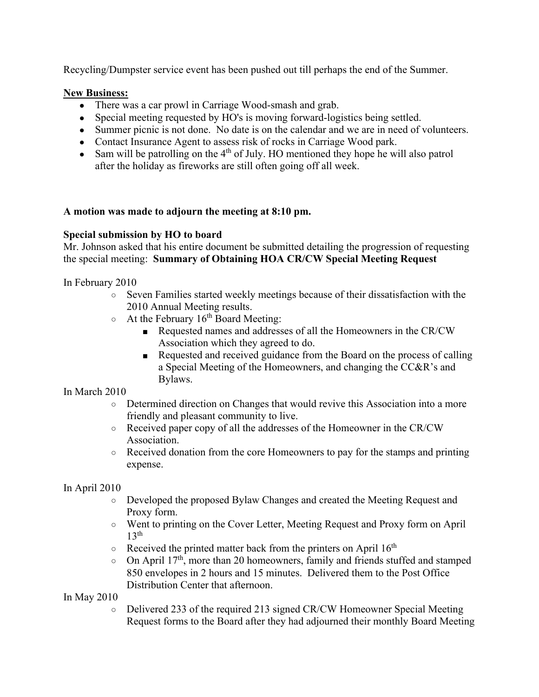Recycling/Dumpster service event has been pushed out till perhaps the end of the Summer.

# **New Business:**

- There was a car prowl in Carriage Wood-smash and grab.
- Special meeting requested by HO's is moving forward-logistics being settled.
- Summer picnic is not done. No date is on the calendar and we are in need of volunteers.
- Contact Insurance Agent to assess risk of rocks in Carriage Wood park.
- Sam will be patrolling on the  $4<sup>th</sup>$  of July. HO mentioned they hope he will also patrol after the holiday as fireworks are still often going off all week.

# **A motion was made to adjourn the meeting at 8:10 pm.**

# **Special submission by HO to board**

Mr. Johnson asked that his entire document be submitted detailing the progression of requesting the special meeting: **Summary of Obtaining HOA CR/CW Special Meeting Request**

In February 2010

- Seven Families started weekly meetings because of their dissatisfaction with the 2010 Annual Meeting results.
- $\circ$  At the February 16<sup>th</sup> Board Meeting:
	- Requested names and addresses of all the Homeowners in the CR/CW Association which they agreed to do.
	- Requested and received guidance from the Board on the process of calling a Special Meeting of the Homeowners, and changing the CC&R's and Bylaws.

In March 2010

- Determined direction on Changes that would revive this Association into a more friendly and pleasant community to live.
- Received paper copy of all the addresses of the Homeowner in the CR/CW Association.
- $\circ$  Received donation from the core Homeowners to pay for the stamps and printing expense.

In April 2010

- Developed the proposed Bylaw Changes and created the Meeting Request and Proxy form.
- Went to printing on the Cover Letter, Meeting Request and Proxy form on April  $13<sup>th</sup>$
- $\circ$  Received the printed matter back from the printers on April 16<sup>th</sup>
- $\circ$  On April 17<sup>th</sup>, more than 20 homeowners, family and friends stuffed and stamped 850 envelopes in 2 hours and 15 minutes. Delivered them to the Post Office Distribution Center that afternoon.

In May 2010

○ Delivered 233 of the required 213 signed CR/CW Homeowner Special Meeting Request forms to the Board after they had adjourned their monthly Board Meeting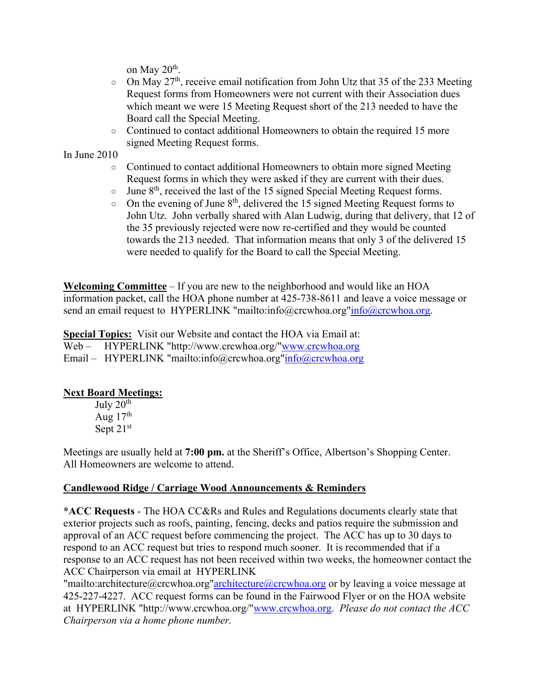on May  $20<sup>th</sup>$ .

- $\circ$  On May 27<sup>th</sup>, receive email notification from John Utz that 35 of the 233 Meeting Request forms from Homeowners were not current with their Association dues which meant we were 15 Meeting Request short of the 213 needed to have the Board call the Special Meeting.
- o Continued to contact additional Homeowners to obtain the required 15 more signed Meeting Request forms.

In June 2010

- Continued to contact additional Homeowners to obtain more signed Meeting Request forms in which they were asked if they are current with their dues.
- $\circ$  June 8<sup>th</sup>, received the last of the 15 signed Special Meeting Request forms.
- $\circ$  On the evening of June 8<sup>th</sup>, delivered the 15 signed Meeting Request forms to John Utz. John verbally shared with Alan Ludwig, during that delivery, that 12 of the 35 previously rejected were now re-certified and they would be counted towards the 213 needed. That information means that only 3 of the delivered 15 were needed to qualify for the Board to call the Special Meeting.

**Welcoming Committee** – If you are new to the neighborhood and would like an HOA information packet, call the HOA phone number at 425-738-8611 and leave a voice message or send an email request to HYPERLINK "mailto:info@crcwhoa.org"info@crcwhoa.org.

**Special Topics:** Visit our Website and contact the HOA via Email at: Web – HYPERLINK "http://www.crcwhoa.org/"www.crcwhoa.org Email – HYPERLINK "mailto:info@crcwhoa.org"info@crcwhoa.org

# **Next Board Meetings:**

July  $20<sup>th</sup>$ Aug  $17<sup>th</sup>$ Sept  $21<sup>st</sup>$ 

Meetings are usually held at **7:00 pm.** at the Sheriff's Office, Albertson's Shopping Center. All Homeowners are welcome to attend.

# **Candlewood Ridge / Carriage Wood Announcements & Reminders**

**\*ACC Requests** - The HOA CC&Rs and Rules and Regulations documents clearly state that exterior projects such as roofs, painting, fencing, decks and patios require the submission and approval of an ACC request before commencing the project. The ACC has up to 30 days to respond to an ACC request but tries to respond much sooner. It is recommended that if a response to an ACC request has not been received within two weeks, the homeowner contact the ACC Chairperson via email at HYPERLINK

"mailto:architecture@crcwhoa.org"architecture@crcwhoa.org or by leaving a voice message at 425-227-4227. ACC request forms can be found in the Fairwood Flyer or on the HOA website at HYPERLINK "http://www.crcwhoa.org/"www.crcwhoa.org. *Please do not contact the ACC Chairperson via a home phone number.*